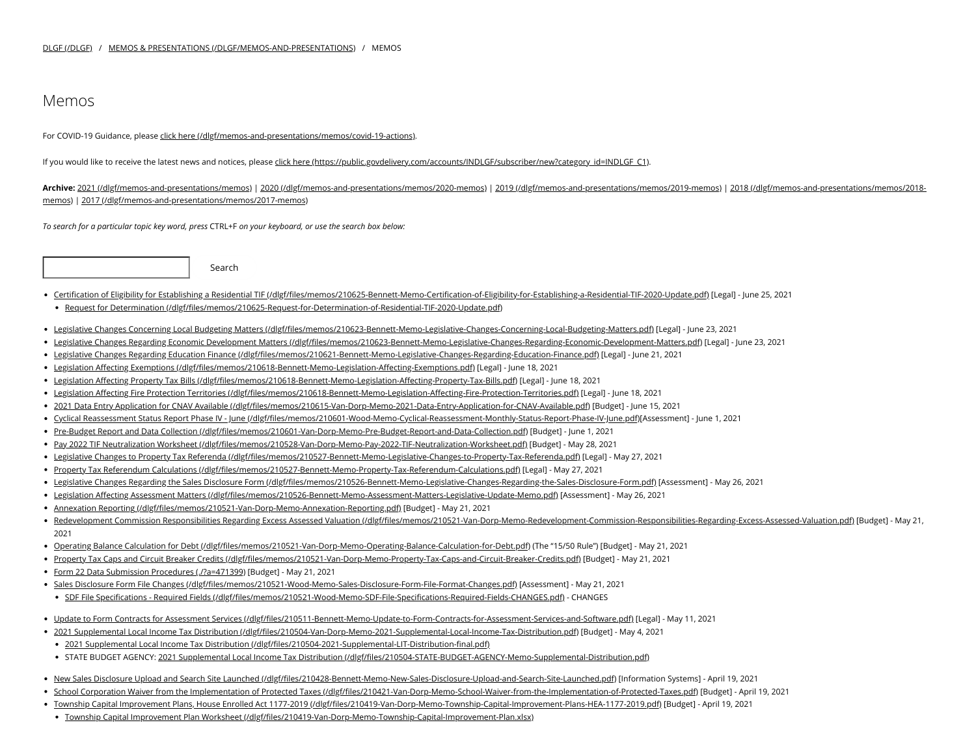## Memos

For COVID-19 Guidance, please click here [\(/dlgf/memos-and-presentations/memos/covid-19-actions\).](https://www.in.gov/dlgf/memos-and-presentations/memos/covid-19-actions)

If you would like to receive the latest news and notices, please click here [\(https://public.govdelivery.com/accounts/INDLGF/subscriber/new?category\\_id=INDLGF\\_C1\).](https://public.govdelivery.com/accounts/INDLGF/subscriber/new?category_id=INDLGF_C1)

**Archive:** 2021 [\(/dlgf/memos-and-presentations/memos\)](https://www.in.gov/dlgf/memos-and-presentations/memos) | 2020 [\(/dlgf/memos-and-presentations/memos/2020-memos\)](https://www.in.gov/dlgf/memos-and-presentations/memos/2020-memos) | 2019 [\(/dlgf/memos-and-presentations/memos/2019-memos\)](https://www.in.gov/dlgf/memos-and-presentations/memos/2019-memos) | 2018 (/dlgf/memos-and-presentations/memos/2018 memos) | 2017 [\(/dlgf/memos-and-presentations/memos/2017-memos\)](https://www.in.gov/dlgf/memos-and-presentations/memos/2017-memos)

*To search for a particular topic key word, press* CTRL+F *on your keyboard, or use the search box below:*

Search

- Certification of Eligibility for Establishing a Residential TIF [\(/dlgf/files/memos/210625-Bennett-Memo-Certification-of-Eligibility-for-Establishing-a-Residential-TIF-2020-Update.pdf\)](https://www.in.gov/dlgf/files/memos/210625-Bennett-Memo-Certification-of-Eligibility-for-Establishing-a-Residential-TIF-2020-Update.pdf) [Legal] June 25, 2021
- Request for Determination [\(/dlgf/files/memos/210625-Request-for-Determination-of-Residential-TIF-2020-Update.pdf\)](https://www.in.gov/dlgf/files/memos/210625-Request-for-Determination-of-Residential-TIF-2020-Update.pdf)
- Legislative Changes Concerning Local Budgeting Matters [\(/dlgf/files/memos/210623-Bennett-Memo-Legislative-Changes-Concerning-Local-Budgeting-Matters.pdf\)](https://www.in.gov/dlgf/files/memos/210623-Bennett-Memo-Legislative-Changes-Concerning-Local-Budgeting-Matters.pdf) [Legal] June 23, 2021
- Legislative Changes Regarding Economic Development Matters [\(/dlgf/files/memos/210623-Bennett-Memo-Legislative-Changes-Regarding-Economic-Development-Matters.pdf\)](https://www.in.gov/dlgf/files/memos/210623-Bennett-Memo-Legislative-Changes-Regarding-Economic-Development-Matters.pdf) [Legal] June 23, 2021
- Legislative Changes Regarding Education Finance [\(/dlgf/files/memos/210621-Bennett-Memo-Legislative-Changes-Regarding-Education-Finance.pdf\)](https://www.in.gov/dlgf/files/memos/210621-Bennett-Memo-Legislative-Changes-Regarding-Education-Finance.pdf) [Legal] June 21, 2021
- Legislation Affecting Exemptions [\(/dlgf/files/memos/210618-Bennett-Memo-Legislation-Affecting-Exemptions.pdf\)](https://www.in.gov/dlgf/files/memos/210618-Bennett-Memo-Legislation-Affecting-Exemptions.pdf) [Legal] June 18, 2021
- Legislation Affecting Property Tax Bills [\(/dlgf/files/memos/210618-Bennett-Memo-Legislation-Affecting-Property-Tax-Bills.pdf\)](https://www.in.gov/dlgf/files/memos/210618-Bennett-Memo-Legislation-Affecting-Property-Tax-Bills.pdf) [Legal] June 18, 2021
- Legislation Affecting Fire Protection Territories [\(/dlgf/files/memos/210618-Bennett-Memo-Legislation-Affecting-Fire-Protection-Territories.pdf\)](https://www.in.gov/dlgf/files/memos/210618-Bennett-Memo-Legislation-Affecting-Fire-Protection-Territories.pdf) [Legal] June 18, 2021
- 2021 Data Entry Application for CNAV Available [\(/dlgf/files/memos/210615-Van-Dorp-Memo-2021-Data-Entry-Application-for-CNAV-Available.pdf\)](https://www.in.gov/dlgf/files/memos/210615-Van-Dorp-Memo-2021-Data-Entry-Application-for-CNAV-Available.pdf) [Budget] June 15, 2021
- · Cyclical Reassessment Status Report Phase IV June [\(/dlgf/files/memos/210601-Wood-Memo-Cyclical-Reassessment-Monthly-Status-Report-Phase-IV-June.pdf\)](https://www.in.gov/dlgf/files/memos/210601-Wood-Memo-Cyclical-Reassessment-Monthly-Status-Report-Phase-IV-June.pdf)[Assessment] June 1, 2021
- Pre-Budget Report and Data Collection [\(/dlgf/files/memos/210601-Van-Dorp-Memo-Pre-Budget-Report-and-Data-Collection.pdf\)](https://www.in.gov/dlgf/files/memos/210601-Van-Dorp-Memo-Pre-Budget-Report-and-Data-Collection.pdf) [Budget] June 1, 2021
- Pay 2022 TIF Neutralization Worksheet [\(/dlgf/files/memos/210528-Van-Dorp-Memo-Pay-2022-TIF-Neutralization-Worksheet.pdf\)](https://www.in.gov/dlgf/files/memos/210528-Van-Dorp-Memo-Pay-2022-TIF-Neutralization-Worksheet.pdf) [Budget] May 28, 2021
- Legislative Changes to Property Tax Referenda [\(/dlgf/files/memos/210527-Bennett-Memo-Legislative-Changes-to-Property-Tax-Referenda.pdf\)](https://www.in.gov/dlgf/files/memos/210527-Bennett-Memo-Legislative-Changes-to-Property-Tax-Referenda.pdf) [Legal] May 27, 2021
- Property Tax Referendum Calculations [\(/dlgf/files/memos/210527-Bennett-Memo-Property-Tax-Referendum-Calculations.pdf\)](https://www.in.gov/dlgf/files/memos/210527-Bennett-Memo-Property-Tax-Referendum-Calculations.pdf) [Legal] May 27, 2021
- Legislative Changes Regarding the Sales Disclosure Form [\(/dlgf/files/memos/210526-Bennett-Memo-Legislative-Changes-Regarding-the-Sales-Disclosure-Form.pdf\)](https://www.in.gov/dlgf/files/memos/210526-Bennett-Memo-Legislative-Changes-Regarding-the-Sales-Disclosure-Form.pdf) [Assessment] May 26, 2021
- · Legislation Affecting Assessment Matters [\(/dlgf/files/memos/210526-Bennett-Memo-Assessment-Matters-Legislative-Update-Memo.pdf\)](https://www.in.gov/dlgf/files/memos/210526-Bennett-Memo-Assessment-Matters-Legislative-Update-Memo.pdf) [Assessment] May 26, 2021
- Annexation Reporting [\(/dlgf/files/memos/210521-Van-Dorp-Memo-Annexation-Reporting.pdf\)](https://www.in.gov/dlgf/files/memos/210521-Van-Dorp-Memo-Annexation-Reporting.pdf) [Budget] May 21, 2021
- Redevelopment Commission Responsibilities Regarding Excess Assessed Valuation [\(/dlgf/files/memos/210521-Van-Dorp-Memo-Redevelopment-Commission-Responsibilities-Regarding-Excess-Assessed-Valuation.pdf\)](https://www.in.gov/dlgf/files/memos/210521-Van-Dorp-Memo-Redevelopment-Commission-Responsibilities-Regarding-Excess-Assessed-Valuation.pdf) [Budget] May 21, 2021
- Operating Balance Calculation for Debt [\(/dlgf/files/memos/210521-Van-Dorp-Memo-Operating-Balance-Calculation-for-Debt.pdf\)](https://www.in.gov/dlgf/files/memos/210521-Van-Dorp-Memo-Operating-Balance-Calculation-for-Debt.pdf) (The "15/50 Rule") [Budget] May 21, 2021
- Property Tax Caps and Circuit Breaker Credits [\(/dlgf/files/memos/210521-Van-Dorp-Memo-Property-Tax-Caps-and-Circuit-Breaker-Credits.pdf\)](https://www.in.gov/dlgf/files/memos/210521-Van-Dorp-Memo-Property-Tax-Caps-and-Circuit-Breaker-Credits.pdf) [Budget] May 21, 2021
- Form 22 Data Submission Procedures [\(./?a=471399\)](https://www.in.gov/dlgf/memos-and-presentations/memos/?a=471399) [Budget] May 21, 2021
- · Sales Disclosure Form File Changes [\(/dlgf/files/memos/210521-Wood-Memo-Sales-Disclosure-Form-File-Format-Changes.pdf\)](https://www.in.gov/dlgf/files/memos/210521-Wood-Memo-Sales-Disclosure-Form-File-Format-Changes.pdf) [Assessment] May 21, 2021
	- · SDF File Specifications Required Fields [\(/dlgf/files/memos/210521-Wood-Memo-SDF-File-Specifications-Required-Fields-CHANGES.pdf\)](https://www.in.gov/dlgf/files/memos/210521-Wood-Memo-SDF-File-Specifications-Required-Fields-CHANGES.pdf) CHANGES
- . Update to Form Contracts for Assessment Services [\(/dlgf/files/210511-Bennett-Memo-Update-to-Form-Contracts-for-Assessment-Services-and-Software.pdf\)](https://www.in.gov/dlgf/files/210511-Bennett-Memo-Update-to-Form-Contracts-for-Assessment-Services-and-Software.pdf) [Legal] May 11, 2021
- 2021 Supplemental Local Income Tax Distribution [\(/dlgf/files/210504-Van-Dorp-Memo-2021-Supplemental-Local-Income-Tax-Distribution.pdf\)](https://www.in.gov/dlgf/files/210504-Van-Dorp-Memo-2021-Supplemental-Local-Income-Tax-Distribution.pdf) [Budget] May 4, 2021
	- 2021 Supplemental Local Income Tax Distribution [\(/dlgf/files/210504-2021-Supplemental-LIT-Distribution-final.pdf\)](https://www.in.gov/dlgf/files/210504-2021-Supplemental-LIT-Distribution-final.pdf)
- · STATE BUDGET AGENCY: 2021 Supplemental Local Income Tax Distribution [\(/dlgf/files/210504-STATE-BUDGET-AGENCY-Memo-Supplemental-Distribution.pdf\)](https://www.in.gov/dlgf/files/210504-STATE-BUDGET-AGENCY-Memo-Supplemental-Distribution.pdf)
- . New Sales Disclosure Upload and Search Site Launched [\(/dlgf/files/210428-Bennett-Memo-New-Sales-Disclosure-Upload-and-Search-Site-Launched.pdf\)](https://www.in.gov/dlgf/files/210428-Bennett-Memo-New-Sales-Disclosure-Upload-and-Search-Site-Launched.pdf) [Information Systems] April 19, 2021
- · School Corporation Waiver from the Implementation of Protected Taxes [\(/dlgf/files/210421-Van-Dorp-Memo-School-Waiver-from-the-Implementation-of-Protected-Taxes.pdf\)](https://www.in.gov/dlgf/files/210421-Van-Dorp-Memo-School-Waiver-from-the-Implementation-of-Protected-Taxes.pdf) [Budget] April 19, 2021
- Township Capital Improvement Plans, House Enrolled Act 1177-2019 [\(/dlgf/files/210419-Van-Dorp-Memo-Township-Capital-Improvement-Plans-HEA-1177-2019.pdf\)](https://www.in.gov/dlgf/files/210419-Van-Dorp-Memo-Township-Capital-Improvement-Plans-HEA-1177-2019.pdf) [Budget] April 19, 2021
- Township Capital Improvement Plan Worksheet [\(/dlgf/files/210419-Van-Dorp-Memo-Township-Capital-Improvement-Plan.xlsx\)](https://www.in.gov/dlgf/files/210419-Van-Dorp-Memo-Township-Capital-Improvement-Plan.xlsx)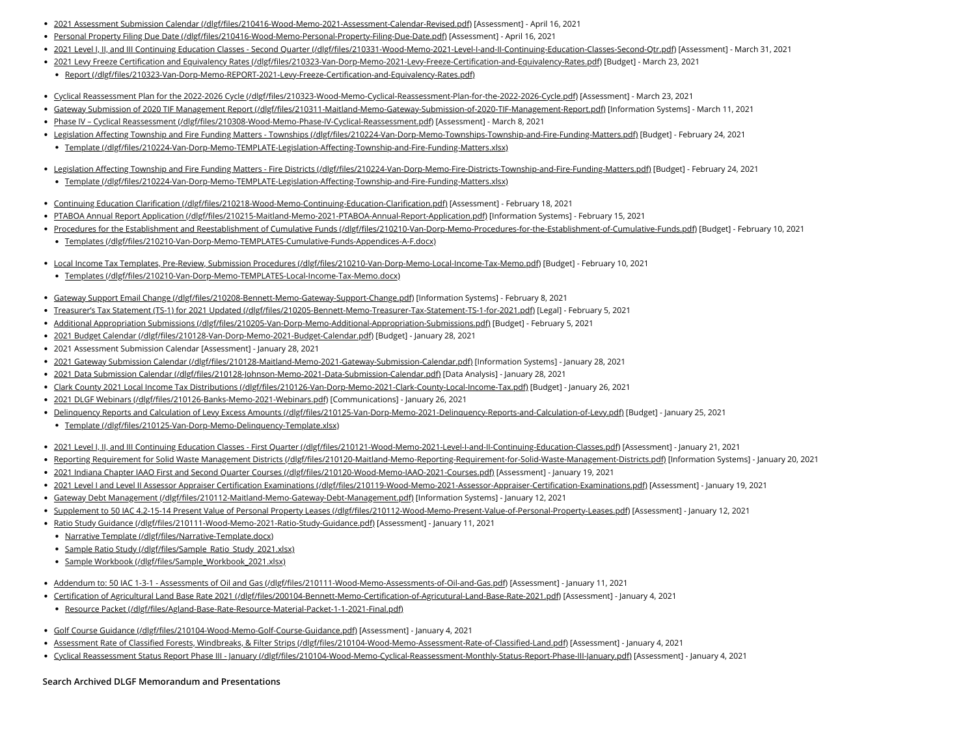- 2021 Assessment Submission Calendar [\(/dlgf/files/210416-Wood-Memo-2021-Assessment-Calendar-Revised.pdf\)](https://www.in.gov/dlgf/files/210416-Wood-Memo-2021-Assessment-Calendar-Revised.pdf) [Assessment] April 16, 2021
- Personal Property Filing Due Date [\(/dlgf/files/210416-Wood-Memo-Personal-Property-Filing-Due-Date.pdf\)](https://www.in.gov/dlgf/files/210416-Wood-Memo-Personal-Property-Filing-Due-Date.pdf) [Assessment] April 16, 2021
- 2021 Level I, II, and III Continuing Education Classes Second Quarter [\(/dlgf/files/210331-Wood-Memo-2021-Level-I-and-II-Continuing-Education-Classes-Second-Qtr.pdf\)](https://www.in.gov/dlgf/files/210331-Wood-Memo-2021-Level-I-and-II-Continuing-Education-Classes-Second-Qtr.pdf) [Assessment] March 31, 2021
- 2021 Levy Freeze Certification and Equivalency Rates [\(/dlgf/files/210323-Van-Dorp-Memo-2021-Levy-Freeze-Certification-and-Equivalency-Rates.pdf\)](https://www.in.gov/dlgf/files/210323-Van-Dorp-Memo-2021-Levy-Freeze-Certification-and-Equivalency-Rates.pdf) [Budget] March 23, 2021
- Report [\(/dlgf/files/210323-Van-Dorp-Memo-REPORT-2021-Levy-Freeze-Certification-and-Equivalency-Rates.pdf\)](https://www.in.gov/dlgf/files/210323-Van-Dorp-Memo-REPORT-2021-Levy-Freeze-Certification-and-Equivalency-Rates.pdf)
- Cyclical Reassessment Plan for the 2022-2026 Cycle [\(/dlgf/files/210323-Wood-Memo-Cyclical-Reassessment-Plan-for-the-2022-2026-Cycle.pdf\)](https://www.in.gov/dlgf/files/210323-Wood-Memo-Cyclical-Reassessment-Plan-for-the-2022-2026-Cycle.pdf) [Assessment] March 23, 2021
- Gateway Submission of 2020 TIF Management Report [\(/dlgf/files/210311-Maitland-Memo-Gateway-Submission-of-2020-TIF-Management-Report.pdf\)](https://www.in.gov/dlgf/files/210311-Maitland-Memo-Gateway-Submission-of-2020-TIF-Management-Report.pdf) [Information Systems] March 11, 2021
- Phase IV Cyclical Reassessment [\(/dlgf/files/210308-Wood-Memo-Phase-IV-Cyclical-Reassessment.pdf\)](https://www.in.gov/dlgf/files/210308-Wood-Memo-Phase-IV-Cyclical-Reassessment.pdf) [Assessment] March 8, 2021
- Legislation Affecting Township and Fire Funding Matters Townships [\(/dlgf/files/210224-Van-Dorp-Memo-Townships-Township-and-Fire-Funding-Matters.pdf\)](https://www.in.gov/dlgf/files/210224-Van-Dorp-Memo-Townships-Township-and-Fire-Funding-Matters.pdf) [Budget] February 24, 2021
- Template [\(/dlgf/files/210224-Van-Dorp-Memo-TEMPLATE-Legislation-Affecting-Township-and-Fire-Funding-Matters.xlsx\)](https://www.in.gov/dlgf/files/210224-Van-Dorp-Memo-TEMPLATE-Legislation-Affecting-Township-and-Fire-Funding-Matters.xlsx)
- . Legislation Affecting Township and Fire Funding Matters Fire Districts [\(/dlgf/files/210224-Van-Dorp-Memo-Fire-Districts-Township-and-Fire-Funding-Matters.pdf\)](https://www.in.gov/dlgf/files/210224-Van-Dorp-Memo-Fire-Districts-Township-and-Fire-Funding-Matters.pdf) [Budget] February 24, 2021
- Template [\(/dlgf/files/210224-Van-Dorp-Memo-TEMPLATE-Legislation-Affecting-Township-and-Fire-Funding-Matters.xlsx\)](https://www.in.gov/dlgf/files/210224-Van-Dorp-Memo-TEMPLATE-Legislation-Affecting-Township-and-Fire-Funding-Matters.xlsx)
- Continuing Education Clarification [\(/dlgf/files/210218-Wood-Memo-Continuing-Education-Clarification.pdf\)](https://www.in.gov/dlgf/files/210218-Wood-Memo-Continuing-Education-Clarification.pdf) [Assessment] February 18, 2021
- PTABOA Annual Report Application [\(/dlgf/files/210215-Maitland-Memo-2021-PTABOA-Annual-Report-Application.pdf\)](https://www.in.gov/dlgf/files/210215-Maitland-Memo-2021-PTABOA-Annual-Report-Application.pdf) [Information Systems] February 15, 2021
- Procedures for the Establishment and Reestablishment of Cumulative Funds [\(/dlgf/files/210210-Van-Dorp-Memo-Procedures-for-the-Establishment-of-Cumulative-Funds.pdf\)](https://www.in.gov/dlgf/files/210210-Van-Dorp-Memo-Procedures-for-the-Establishment-of-Cumulative-Funds.pdf) [Budget] February 10, 2021
- Templates [\(/dlgf/files/210210-Van-Dorp-Memo-TEMPLATES-Cumulative-Funds-Appendices-A-F.docx\)](https://www.in.gov/dlgf/files/210210-Van-Dorp-Memo-TEMPLATES-Cumulative-Funds-Appendices-A-F.docx)
- Local Income Tax Templates, Pre-Review, Submission Procedures [\(/dlgf/files/210210-Van-Dorp-Memo-Local-Income-Tax-Memo.pdf\)](https://www.in.gov/dlgf/files/210210-Van-Dorp-Memo-Local-Income-Tax-Memo.pdf) [Budget] February 10, 2021
	- Templates [\(/dlgf/files/210210-Van-Dorp-Memo-TEMPLATES-Local-Income-Tax-Memo.docx\)](https://www.in.gov/dlgf/files/210210-Van-Dorp-Memo-TEMPLATES-Local-Income-Tax-Memo.docx)
- Gateway Support Email Change [\(/dlgf/files/210208-Bennett-Memo-Gateway-Support-Change.pdf\)](https://www.in.gov/dlgf/files/210208-Bennett-Memo-Gateway-Support-Change.pdf) [Information Systems] February 8, 2021
- Treasurer's Tax Statement (TS-1) for 2021 Updated [\(/dlgf/files/210205-Bennett-Memo-Treasurer-Tax-Statement-TS-1-for-2021.pdf\)](https://www.in.gov/dlgf/files/210205-Bennett-Memo-Treasurer-Tax-Statement-TS-1-for-2021.pdf) [Legal] February 5, 2021
- Additional Appropriation Submissions [\(/dlgf/files/210205-Van-Dorp-Memo-Additional-Appropriation-Submissions.pdf\)](https://www.in.gov/dlgf/files/210205-Van-Dorp-Memo-Additional-Appropriation-Submissions.pdf) [Budget] February 5, 2021
- 2021 Budget Calendar [\(/dlgf/files/210128-Van-Dorp-Memo-2021-Budget-Calendar.pdf\)](https://www.in.gov/dlgf/files/210128-Van-Dorp-Memo-2021-Budget-Calendar.pdf) [Budget] January 28, 2021
- 2021 Assessment Submission Calendar [Assessment] January 28, 2021
- 2021 Gateway Submission Calendar [\(/dlgf/files/210128-Maitland-Memo-2021-Gateway-Submission-Calendar.pdf\)](https://www.in.gov/dlgf/files/210128-Maitland-Memo-2021-Gateway-Submission-Calendar.pdf) [Information Systems] January 28, 2021
- 2021 Data Submission Calendar [\(/dlgf/files/210128-Johnson-Memo-2021-Data-Submission-Calendar.pdf\)](https://www.in.gov/dlgf/files/210128-Johnson-Memo-2021-Data-Submission-Calendar.pdf) [Data Analysis] January 28, 2021
- Clark County 2021 Local Income Tax Distributions [\(/dlgf/files/210126-Van-Dorp-Memo-2021-Clark-County-Local-Income-Tax.pdf\)](https://www.in.gov/dlgf/files/210126-Van-Dorp-Memo-2021-Clark-County-Local-Income-Tax.pdf) [Budget] January 26, 2021
- 2021 DLGF Webinars [\(/dlgf/files/210126-Banks-Memo-2021-Webinars.pdf\)](https://www.in.gov/dlgf/files/210126-Banks-Memo-2021-Webinars.pdf) [Communications] January 26, 2021
- Delinquency Reports and Calculation of Levy Excess Amounts [\(/dlgf/files/210125-Van-Dorp-Memo-2021-Delinquency-Reports-and-Calculation-of-Levy.pdf\)](https://www.in.gov/dlgf/files/210125-Van-Dorp-Memo-2021-Delinquency-Reports-and-Calculation-of-Levy.pdf) [Budget] January 25, 2021
- Template [\(/dlgf/files/210125-Van-Dorp-Memo-Delinquency-Template.xlsx\)](https://www.in.gov/dlgf/files/210125-Van-Dorp-Memo-Delinquency-Template.xlsx)
- . 2021 Level I, II, and III Continuing Education Classes First Quarter [\(/dlgf/files/210121-Wood-Memo-2021-Level-I-and-II-Continuing-Education-Classes.pdf\)](https://www.in.gov/dlgf/files/210121-Wood-Memo-2021-Level-I-and-II-Continuing-Education-Classes.pdf) [Assessment] January 21, 2021
- Reporting Requirement for Solid Waste Management Districts [\(/dlgf/files/210120-Maitland-Memo-Reporting-Requirement-for-Solid-Waste-Management-Districts.pdf\)](https://www.in.gov/dlgf/files/210120-Maitland-Memo-Reporting-Requirement-for-Solid-Waste-Management-Districts.pdf) [Information Systems] January 20, 2021
- 2021 Indiana Chapter IAAO First and Second Quarter Courses [\(/dlgf/files/210120-Wood-Memo-IAAO-2021-Courses.pdf\)](https://www.in.gov/dlgf/files/210120-Wood-Memo-IAAO-2021-Courses.pdf) [Assessment] January 19, 2021
- 2021 Level I and Level II Assessor Appraiser Certification Examinations [\(/dlgf/files/210119-Wood-Memo-2021-Assessor-Appraiser-Certification-Examinations.pdf\)](https://www.in.gov/dlgf/files/210119-Wood-Memo-2021-Assessor-Appraiser-Certification-Examinations.pdf) [Assessment] January 19, 2021
- Gateway Debt Management [\(/dlgf/files/210112-Maitland-Memo-Gateway-Debt-Management.pdf\)](https://www.in.gov/dlgf/files/210112-Maitland-Memo-Gateway-Debt-Management.pdf) [Information Systems] January 12, 2021
- Supplement to 50 IAC 4.2-15-14 Present Value of Personal Property Leases [\(/dlgf/files/210112-Wood-Memo-Present-Value-of-Personal-Property-Leases.pdf\)](https://www.in.gov/dlgf/files/210112-Wood-Memo-Present-Value-of-Personal-Property-Leases.pdf) [Assessment] January 12, 2021
- Ratio Study Guidance [\(/dlgf/files/210111-Wood-Memo-2021-Ratio-Study-Guidance.pdf\)](https://www.in.gov/dlgf/files/210111-Wood-Memo-2021-Ratio-Study-Guidance.pdf) [Assessment] January 11, 2021
	- Narrative Template [\(/dlgf/files/Narrative-Template.docx\)](https://www.in.gov/dlgf/files/Narrative-Template.docx)
	- Sample Ratio Study [\(/dlgf/files/Sample\\_Ratio\\_Study\\_2021.xlsx\)](https://www.in.gov/dlgf/files/Sample_Ratio_Study_2021.xlsx)
	- Sample Workbook [\(/dlgf/files/Sample\\_Workbook\\_2021.xlsx\)](https://www.in.gov/dlgf/files/Sample_Workbook_2021.xlsx)
- Addendum to: 50 IAC 1-3-1 Assessments of Oil and Gas [\(/dlgf/files/210111-Wood-Memo-Assessments-of-Oil-and-Gas.pdf\)](https://www.in.gov/dlgf/files/210111-Wood-Memo-Assessments-of-Oil-and-Gas.pdf) [Assessment] January 11, 2021
- Certification of Agricultural Land Base Rate 2021 [\(/dlgf/files/200104-Bennett-Memo-Certification-of-Agricutural-Land-Base-Rate-2021.pdf\)](https://www.in.gov/dlgf/files/200104-Bennett-Memo-Certification-of-Agricutural-Land-Base-Rate-2021.pdf) [Assessment] January 4, 2021
- Resource Packet [\(/dlgf/files/Agland-Base-Rate-Resource-Material-Packet-1-1-2021-Final.pdf\)](https://www.in.gov/dlgf/files/Agland-Base-Rate-Resource-Material-Packet-1-1-2021-Final.pdf)
- Golf Course Guidance [\(/dlgf/files/210104-Wood-Memo-Golf-Course-Guidance.pdf\)](https://www.in.gov/dlgf/files/210104-Wood-Memo-Golf-Course-Guidance.pdf) [Assessment] January 4, 2021
- Assessment Rate of Classified Forests, Windbreaks, & Filter Strips [\(/dlgf/files/210104-Wood-Memo-Assessment-Rate-of-Classified-Land.pdf\)](https://www.in.gov/dlgf/files/210104-Wood-Memo-Assessment-Rate-of-Classified-Land.pdf) [Assessment] January 4, 2021
- Cyclical Reassessment Status Report Phase III January [\(/dlgf/files/210104-Wood-Memo-Cyclical-Reassessment-Monthly-Status-Report-Phase-III-January.pdf\)](https://www.in.gov/dlgf/files/210104-Wood-Memo-Cyclical-Reassessment-Monthly-Status-Report-Phase-III-January.pdf) [Assessment] January 4, 2021

## **Search Archived DLGF Memorandum and Presentations**